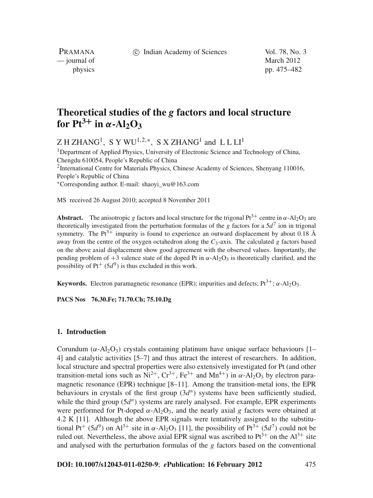c Indian Academy of Sciences Vol. 78, No. 3

PRAMANA — journal of March 2012

physics pp. 475–482

# **Theoretical studies of the** *g* **factors and local structure for**  $Pt^{3+}$  **in**  $\alpha$ **-Al**<sub>2</sub> $O_3$

 $Z$  H ZHANG<sup>1</sup>, S Y WU<sup>1,2,\*</sup>, S X ZHANG<sup>1</sup> and L L L<sup>1</sup>

<sup>1</sup>Department of Applied Physics, University of Electronic Science and Technology of China, Chengdu 610054, People's Republic of China <sup>2</sup>International Centre for Materials Physics, Chinese Academy of Sciences, Shenyang 110016, People's Republic of China <sup>∗</sup>Corresponding author. E-mail: shaoyi\_wu@163.com

MS received 26 August 2010; accepted 8 November 2011

**Abstract.** The anisotropic *g* factors and local structure for the trigonal Pt<sup>3+</sup> centre in  $\alpha$ -Al<sub>2</sub>O<sub>3</sub> are theoretically investigated from the perturbation formulas of the *g* factors for a  $5d<sup>7</sup>$  ion in trigonal symmetry. The  $Pt^{3+}$  impurity is found to experience an outward displacement by about 0.18 Å away from the centre of the oxygen octahedron along the  $C_3$ -axis. The calculated *g* factors based on the above axial displacement show good agreement with the observed values. Importantly, the pending problem of  $+3$  valence state of the doped Pt in  $\alpha$ -Al<sub>2</sub>O<sub>3</sub> is theoretically clarified, and the possibility of  $Pt^+(5d^9)$  is thus excluded in this work.

**Keywords.** Electron paramagnetic resonance (EPR); impurities and defects;  $Pt^{3+}$ ;  $\alpha$ -Al<sub>2</sub>O<sub>3</sub>.

**PACS Nos 76.30.Fe; 71.70.Ch; 75.10.Dg**

#### **1. Introduction**

Corundum ( $\alpha$ -Al<sub>2</sub>O<sub>3</sub>) crystals containing platinum have unique surface behaviours [1– 4] and catalytic activities [5–7] and thus attract the interest of researchers. In addition, local structure and spectral properties were also extensively investigated for Pt (and other transition-metal ions such as  $Ni^{2+}$ ,  $Cr^{3+}$ ,  $Fe^{3+}$  and  $Mn^{4+}$ ) in  $\alpha$ -Al<sub>2</sub>O<sub>3</sub> by electron paramagnetic resonance (EPR) technique [8–11]. Among the transition-metal ions, the EPR behaviours in crystals of the first group (3*d<sup>n</sup>*) systems have been sufficiently studied, while the third group (5*d<sup>n</sup>*) systems are rarely analysed. For example, EPR experiments were performed for Pt-doped  $\alpha$ -Al<sub>2</sub>O<sub>3</sub>, and the nearly axial *g* factors were obtained at 4.2 K [11]. Although the above EPR signals were tentatively assigned to the substitutional Pt<sup>+</sup> (5*d*<sup>9</sup>) on Al<sup>3+</sup> site in  $\alpha$ -Al<sub>2</sub>O<sub>3</sub> [11], the possibility of Pt<sup>3+</sup> (5*d*<sup>7</sup>) could not be ruled out. Nevertheless, the above axial EPR signal was ascribed to  $Pt^{3+}$  on the  $Al^{3+}$  site and analysed with the perturbation formulas of the *g* factors based on the conventional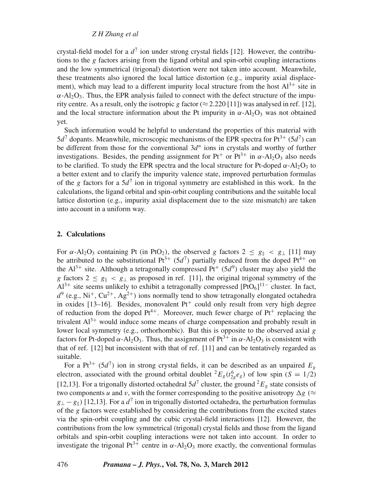*Z H Zhang et al*

crystal-field model for a  $d^7$  ion under strong crystal fields [12]. However, the contributions to the *g* factors arising from the ligand orbital and spin-orbit coupling interactions and the low symmetrical (trigonal) distortion were not taken into account. Meanwhile, these treatments also ignored the local lattice distortion (e.g., impurity axial displacement), which may lead to a different impurity local structure from the host  $Al^{3+}$  site in  $\alpha$ -Al<sub>2</sub>O<sub>3</sub>. Thus, the EPR analysis failed to connect with the defect structure of the impurity centre. As a result, only the isotropic *g* factor ( $\approx$  2.220 [11]) was analysed in ref. [12], and the local structure information about the Pt impurity in  $\alpha$ -Al<sub>2</sub>O<sub>3</sub> was not obtained yet.

Such information would be helpful to understand the properties of this material with  $5d^7$  dopants. Meanwhile, microscopic mechanisms of the EPR spectra for Pt<sup>3+</sup> ( $5d^7$ ) can be different from those for the conventional 3*d<sup>n</sup>* ions in crystals and worthy of further investigations. Besides, the pending assignment for Pt<sup>+</sup> or Pt<sup>3+</sup> in  $\alpha$ -Al<sub>2</sub>O<sub>3</sub> also needs to be clarified. To study the EPR spectra and the local structure for Pt-doped  $\alpha$ -Al<sub>2</sub>O<sub>3</sub> to a better extent and to clarify the impurity valence state, improved perturbation formulas of the *g* factors for a  $5d^7$  ion in trigonal symmetry are established in this work. In the calculations, the ligand orbital and spin-orbit coupling contributions and the suitable local lattice distortion (e.g., impurity axial displacement due to the size mismatch) are taken into account in a uniform way.

# **2. Calculations**

For  $\alpha$ -Al<sub>2</sub>O<sub>3</sub> containing Pt (in PtO<sub>2</sub>), the observed *g* factors  $2 \le g_{\parallel} < g_{\perp}$  [11] may be attributed to the substitutional  $Pt^{3+}$  (5*d*<sup>7</sup>) partially reduced from the doped Pt<sup>4+</sup> on the  $Al^{3+}$  site. Although a tetragonally compressed  $Pt^+(5d^9)$  cluster may also yield the *g* factors  $2 \le g_{\parallel} < g_{\perp}$  as proposed in ref. [11], the original trigonal symmetry of the  $Al^{3+}$  site seems unlikely to exhibit a tetragonally compressed  $[PtO<sub>6</sub>]$ <sup>11–</sup> cluster. In fact,  $d^9$  (e.g., Ni<sup>+</sup>, Cu<sup>2+</sup>, Ag<sup>2+</sup>) ions normally tend to show tetragonally elongated octahedra in oxides [13–16]. Besides, monovalent  $Pt^+$  could only result from very high degree of reduction from the doped  $Pt^{4+}$ . Moreover, much fewer charge of  $Pt^{+}$  replacing the trivalent  $Al^{3+}$  would induce some means of charge compensation and probably result in lower local symmetry (e.g., orthorhombic). But this is opposite to the observed axial *g* factors for Pt-doped  $\alpha$ -Al<sub>2</sub>O<sub>3</sub>. Thus, the assignment of Pt<sup>3+</sup> in  $\alpha$ -Al<sub>2</sub>O<sub>3</sub> is consistent with that of ref. [12] but inconsistent with that of ref. [11] and can be tentatively regarded as suitable.

For a Pt<sup>3+</sup> (5*d*<sup>7</sup>) ion in strong crystal fields, it can be described as an unpaired  $E<sub>g</sub>$ electron, associated with the ground orbital doublet  ${}^2E_g(t_{2g}^6e_g)$  of low spin (*S* = 1/2) [12,13]. For a trigonally distorted octahedral  $5d^7$  cluster, the ground  $^2E_g$  state consists of two components *u* and *v*, with the former corresponding to the positive anisotropy  $\Delta g$  ( $\approx$  $g_{\perp} - g_{\parallel}$ ) [12,13]. For a  $d^7$  ion in trigonally distorted octahedra, the perturbation formulas of the *g* factors were established by considering the contributions from the excited states via the spin-orbit coupling and the cubic crystal-field interactions [12]. However, the contributions from the low symmetrical (trigonal) crystal fields and those from the ligand orbitals and spin-orbit coupling interactions were not taken into account. In order to investigate the trigonal Pt<sup>3+</sup> centre in  $\alpha$ -Al<sub>2</sub>O<sub>3</sub> more exactly, the conventional formulas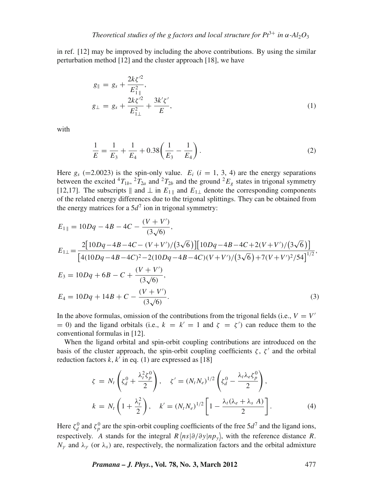in ref. [12] may be improved by including the above contributions. By using the similar perturbation method [12] and the cluster approach [18], we have

$$
g_{\parallel} = g_s + \frac{2k\zeta'^2}{E_{1\parallel}^2},
$$
  
\n
$$
g_{\perp} = g_s + \frac{2k\zeta'^2}{E_{1\perp}^2} + \frac{3k'\zeta'}{E},
$$
\n(1)

with

$$
\frac{1}{E} = \frac{1}{E_3} + \frac{1}{E_4} + 0.38\left(\frac{1}{E_3} - \frac{1}{E_4}\right). \tag{2}
$$

Here  $g_s$  (=2.0023) is the spin-only value.  $E_i$  ( $i = 1, 3, 4$ ) are the energy separations between the excited  ${}^4T_{1b}$ ,  ${}^2T_{2a}$  and  ${}^2T_{2b}$  and the ground  ${}^2E_g$  states in trigonal symmetry [12,17]. The subscripts  $\parallel$  and  $\perp$  in  $E_{1\parallel}$  and  $E_{1\perp}$  denote the corresponding components of the related energy differences due to the trigonal splittings. They can be obtained from the energy matrices for a  $5d^7$  ion in trigonal symmetry:

$$
E_{1\parallel} = 10Dq - 4B - 4C - \frac{(V + V')}{(3\sqrt{6})},
$$
  
\n
$$
E_{1\perp} = \frac{2[10Dq - 4B - 4C - (V + V')/(3\sqrt{6})][10Dq - 4B - 4C + 2(V + V')/(3\sqrt{6})]}{[4(10Dq - 4B - 4C)^2 - 2(10Dq - 4B - 4C)(V + V')/(3\sqrt{6}) + 7(V + V')^2/54]^{1/2}},
$$
  
\n
$$
E_3 = 10Dq + 6B - C + \frac{(V + V')}{(3\sqrt{6})},
$$
  
\n
$$
E_4 = 10Dq + 14B + C - \frac{(V + V')}{(3\sqrt{6})}.
$$
  
\n(3)

In the above formulas, omission of the contributions from the trigonal fields (i.e.,  $V = V'$ = 0) and the ligand orbitals (i.e.,  $k = k' = 1$  and  $\zeta = \zeta'$ ) can reduce them to the conventional formulas in [12].

When the ligand orbital and spin-orbit coupling contributions are introduced on the basis of the cluster approach, the spin-orbit coupling coefficients  $\zeta$ ,  $\zeta'$  and the orbital reduction factors  $k$ ,  $k'$  in eq. (1) are expressed as [18]

$$
\zeta = N_t \left( \zeta_d^0 + \frac{\lambda_t^2 \zeta_p^0}{2} \right), \quad \zeta' = (N_t N_e)^{1/2} \left( \zeta_d^0 - \frac{\lambda_t \lambda_e \zeta_p^0}{2} \right),
$$

$$
k = N_t \left( 1 + \frac{\lambda_t^2}{2} \right), \quad k' = (N_t N_e)^{1/2} \left[ 1 - \frac{\lambda_t (\lambda_e + \lambda_s A)}{2} \right].
$$
(4)

Here  $\zeta_d^0$  and  $\zeta_p^0$  are the spin-orbit coupling coefficients of the free  $5d^7$  and the ligand ions, respectively. A stands for the integral  $R \langle ns | \partial/\partial y | np_y \rangle$ , with the reference distance R.  $N_{\gamma}$  and  $\lambda_{\gamma}$  (or  $\lambda_{s}$ ) are, respectively, the normalization factors and the orbital admixture

*Pramana – J. Phys.***, Vol. 78, No. 3, March 2012** 477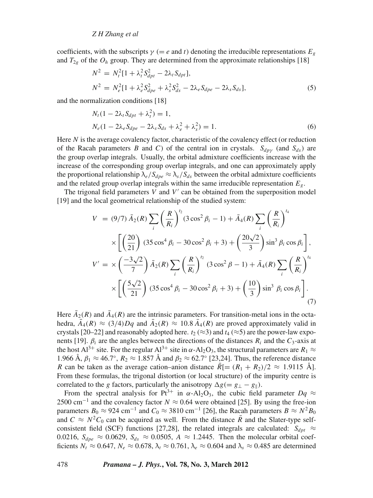# *Z H Zhang et al*

coefficients, with the subscripts  $\gamma$  (= *e* and *t*) denoting the irreducible representations  $E<sub>g</sub>$ and  $T_{2g}$  of the  $O_h$  group. They are determined from the approximate relationships [18]

$$
N^{2} = N_{t}^{2} [1 + \lambda_{t}^{2} S_{dpt}^{2} - 2\lambda_{t} S_{dpt}],
$$
  
\n
$$
N^{2} = N_{e}^{2} [1 + \lambda_{e}^{2} S_{dpe}^{2} + \lambda_{s}^{2} S_{ds}^{2} - 2\lambda_{e} S_{dpe} - 2\lambda_{s} S_{ds}],
$$
\n(5)

and the normalization conditions [18]

$$
N_t(1 - 2\lambda_t S_{dpt} + \lambda_t^2) = 1,
$$
  
\n
$$
N_e(1 - 2\lambda_e S_{dpe} - 2\lambda_s S_{ds} + \lambda_e^2 + \lambda_s^2) = 1.
$$
\n(6)

Here *N* is the average covalency factor, characteristic of the covalency effect (or reduction of the Racah parameters *B* and *C*) of the central ion in crystals.  $S_{dpy}$  (and  $S_{ds}$ ) are the group overlap integrals. Usually, the orbital admixture coefficients increase with the increase of the corresponding group overlap integrals, and one can approximately apply the proportional relationship  $\lambda_e/S_{dpe} \approx \lambda_s/S_{ds}$  between the orbital admixture coefficients and the related group overlap integrals within the same irreducible representation *Eg*.

The trigonal field parameters  $V$  and  $V'$  can be obtained from the superposition model [19] and the local geometrical relationship of the studied system:

$$
V = (9/7) \bar{A}_2(R) \sum_{i} \left(\frac{R}{R_i}\right)^{t_2} (3 \cos^2 \beta_i - 1) + \bar{A}_4(R) \sum_{i} \left(\frac{R}{R_i}\right)^{t_4}
$$
  

$$
\times \left[ \left(\frac{20}{21}\right) (35 \cos^4 \beta_i - 30 \cos^2 \beta_i + 3) + \left(\frac{20\sqrt{2}}{3}\right) \sin^3 \beta_i \cos \beta_i \right],
$$
  

$$
V' = \times \left(\frac{-3\sqrt{2}}{7}\right) \bar{A}_2(R) \sum_{i} \left(\frac{R}{R_i}\right)^{t_2} (3 \cos^2 \beta - 1) + \bar{A}_4(R) \sum_{i} \left(\frac{R}{R_i}\right)^{t_4}
$$
  

$$
\times \left[ \left(\frac{5\sqrt{2}}{21}\right) (35 \cos^4 \beta_i - 30 \cos^2 \beta_i + 3) + \left(\frac{10}{3}\right) \sin^3 \beta_i \cos \beta_i \right].
$$
  
(7)

Here  $\bar{A}_2(R)$  and  $\bar{A}_4(R)$  are the intrinsic parameters. For transition-metal ions in the octahedra,  $\bar{A}_4(R) \approx (3/4)Dq$  and  $\bar{A}_2(R) \approx 10.8 \bar{A}_4(R)$  are proved approximately valid in crystals [20–22] and reasonably adopted here.  $t_2 \approx 3$  and  $t_4 \approx 5$  are the power-law exponents [19].  $\beta_i$  are the angles between the directions of the distances  $R_i$  and the  $C_3$ -axis at the host Al<sup>3+</sup> site. For the regular Al<sup>3+</sup> site in  $\alpha$ -Al<sub>2</sub>O<sub>3</sub>, the structural parameters are  $R_1 \approx$ 1.966 Å,  $\beta_1 \approx 46.7^\circ$ ,  $R_2 \approx 1.857$  Å and  $\beta_2 \approx 62.7^\circ$  [23,24]. Thus, the reference distance *R* can be taken as the average cation–anion distance  $R[=(R_1 + R_2)/2 \approx 1.9115$  Å]. From these formulas, the trigonal distortion (or local structure) of the impurity centre is correlated to the *g* factors, particularly the anisotropy  $\Delta g$ (=  $g_{\perp}$  −  $g_{\parallel}$ ).

From the spectral analysis for Pt<sup>3+</sup> in  $\alpha$ -Al<sub>2</sub>O<sub>3</sub>, the cubic field parameter  $Dq \approx$ 2500 cm<sup>−</sup><sup>1</sup> and the covalency factor *N* ≈ 0.64 were obtained [25]. By using the free-ion parameters  $B_0 \approx 924$  cm<sup>-1</sup> and  $C_0 \approx 3810$  cm<sup>-1</sup> [26], the Racah parameters  $B \approx N^2 B_0$ and  $C \approx N^2 C_0$  can be acquired as well. From the distance  $\overline{R}$  and the Slater-type selfconsistent field (SCF) functions [27,28], the related integrals are calculated:  $S_{dpt} \approx$ 0.0216,  $S_{dpe} \approx 0.0629$ ,  $S_{ds} \approx 0.0505$ ,  $A \approx 1.2445$ . Then the molecular orbital coefficients  $N_t \approx 0.647$ ,  $N_e \approx 0.678$ ,  $\lambda_t \approx 0.761$ ,  $\lambda_e \approx 0.604$  and  $\lambda_s \approx 0.485$  are determined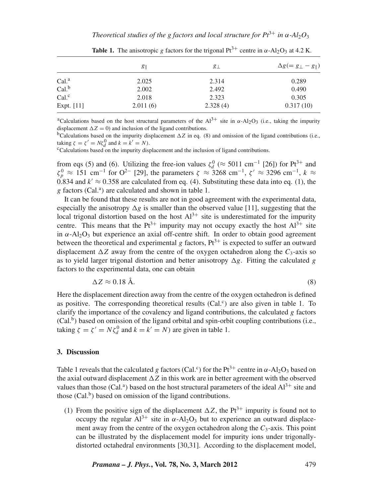*Theoretical studies of the g factors and local structure for*  $Pt^{3+}$  *in*  $\alpha$ *-Al<sub>2</sub>O<sub>3</sub>* 

|                  | $g_{\parallel}$ | $g_{\perp}$ | $\Delta g (= g_{\perp} - g_{\parallel})$ |
|------------------|-----------------|-------------|------------------------------------------|
| Cal <sup>a</sup> | 2.025           | 2.314       | 0.289                                    |
| Cal <sup>b</sup> | 2.002           | 2.492       | 0.490                                    |
| Cal <sup>c</sup> | 2.018           | 2.323       | 0.305                                    |
| Expt. $[11]$     | 2.011(6)        | 2.328(4)    | 0.317(10)                                |

**Table 1.** The anisotropic *g* factors for the trigonal Pt<sup>3+</sup> centre in  $\alpha$ -Al<sub>2</sub>O<sub>3</sub> at 4.2 K.

<sup>a</sup>Calculations based on the host structural parameters of the Al<sup>3+</sup> site in  $\alpha$ -Al<sub>2</sub>O<sub>3</sub> (i.e., taking the impurity displacement  $\Delta Z = 0$ ) and inclusion of the ligand contributions.

 $b$ Calculations based on the impurity displacement  $\Delta Z$  in eq. (8) and omission of the ligand contributions (i.e., taking  $\zeta = \zeta' = N\zeta_d^0$  and  $k = k' = N$ ).

<sup>c</sup>Calculations based on the impurity displacement and the inclusion of ligand contributions.

from eqs (5) and (6). Utilizing the free-ion values  $\zeta_d^0$  ( $\approx$  5011 cm<sup>-1</sup> [26]) for Pt<sup>3+</sup> and  $\zeta_p^0 \approx 151 \text{ cm}^{-1}$  for O<sup>2-</sup> [29], the parameters  $\zeta \approx 3268 \text{ cm}^{-1}$ ,  $\zeta' \approx 3296 \text{ cm}^{-1}$ ,  $k \approx$ 0.834 and  $k' \approx 0.358$  are calculated from eq. (4). Substituting these data into eq. (1), the g factors (Cal.<sup>a</sup>) are calculated and shown in table 1.

It can be found that these results are not in good agreement with the experimental data, especially the anisotropy  $\Delta g$  is smaller than the observed value [11], suggesting that the local trigonal distortion based on the host  $Al^{3+}$  site is underestimated for the impurity centre. This means that the  $Pt^{3+}$  impurity may not occupy exactly the host  $Al^{3+}$  site in  $\alpha$ -Al<sub>2</sub>O<sub>3</sub> but experience an axial off-centre shift. In order to obtain good agreement between the theoretical and experimental *g* factors,  $Pt^{3+}$  is expected to suffer an outward displacement  $\Delta Z$  away from the centre of the oxygen octahedron along the  $C_3$ -axis so as to yield larger trigonal distortion and better anisotropy  $\Delta g$ . Fitting the calculated *g* factors to the experimental data, one can obtain

$$
\Delta Z \approx 0.18 \text{ Å.} \tag{8}
$$

Here the displacement direction away from the centre of the oxygen octahedron is defined as positive. The corresponding theoretical results (Cal.<sup>c</sup>) are also given in table 1. To clarify the importance of the covalency and ligand contributions, the calculated *g* factors  $(Cal<sup>b</sup>)$  based on omission of the ligand orbital and spin-orbit coupling contributions (i.e., taking  $\zeta = \zeta' = N\zeta_d^0$  and  $k = k' = N$ ) are given in table 1.

#### **3. Discussion**

Table 1 reveals that the calculated *g* factors (Cal.<sup>c</sup>) for the Pt<sup>3+</sup> centre in  $\alpha$ -Al<sub>2</sub>O<sub>3</sub> based on the axial outward displacement  $\Delta Z$  in this work are in better agreement with the observed values than those (Cal.<sup>a</sup>) based on the host structural parameters of the ideal  $Al^{3+}$  site and those  $(Cal<sup>b</sup>)$  based on omission of the ligand contributions.

(1) From the positive sign of the displacement  $\Delta Z$ , the Pt<sup>3+</sup> impurity is found not to occupy the regular  $Al^{3+}$  site in  $\alpha$ - $Al_2O_3$  but to experience an outward displacement away from the centre of the oxygen octahedron along the  $C_3$ -axis. This point can be illustrated by the displacement model for impurity ions under trigonallydistorted octahedral environments [30,31]. According to the displacement model,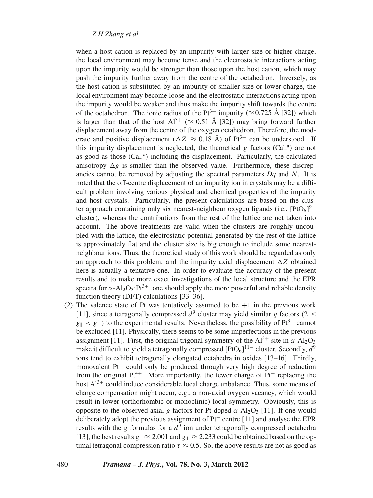# *Z H Zhang et al*

when a host cation is replaced by an impurity with larger size or higher charge, the local environment may become tense and the electrostatic interactions acting upon the impurity would be stronger than those upon the host cation, which may push the impurity further away from the centre of the octahedron. Inversely, as the host cation is substituted by an impurity of smaller size or lower charge, the local environment may become loose and the electrostatic interactions acting upon the impurity would be weaker and thus make the impurity shift towards the centre of the octahedron. The ionic radius of the Pt<sup>3+</sup> impurity ( $\approx$  0.725 Å [32]) which is larger than that of the host  $Al^{3+}$  ( $\approx 0.51$  Å [32]) may bring forward further displacement away from the centre of the oxygen octahedron. Therefore, the moderate and positive displacement ( $\Delta Z \approx 0.18$  Å) of Pt<sup>3+</sup> can be understood. If this impurity displacement is neglected, the theoretical  $g$  factors (Cal.<sup>a</sup>) are not as good as those (Cal.<sup>c</sup>) including the displacement. Particularly, the calculated anisotropy  $\Delta g$  is smaller than the observed value. Furthermore, these discrepancies cannot be removed by adjusting the spectral parameters *Dq* and *N*. It is noted that the off-centre displacement of an impurity ion in crystals may be a difficult problem involving various physical and chemical properties of the impurity and host crystals. Particularly, the present calculations are based on the cluster approach containing only six nearest-neighbour oxygen ligands (i.e.,  $[PtO_6]$ <sup>9-</sup> cluster), whereas the contributions from the rest of the lattice are not taken into account. The above treatments are valid when the clusters are roughly uncoupled with the lattice, the electrostatic potential generated by the rest of the lattice is approximately flat and the cluster size is big enough to include some nearestneighbour ions. Thus, the theoretical study of this work should be regarded as only an approach to this problem, and the impurity axial displacement  $\Delta Z$  obtained here is actually a tentative one. In order to evaluate the accuracy of the present results and to make more exact investigations of the local structure and the EPR spectra for  $\alpha$ -Al<sub>2</sub>O<sub>3</sub>:Pt<sup>3+</sup>, one should apply the more powerful and reliable density function theory (DFT) calculations [33–36].

(2) The valence state of Pt was tentatively assumed to be  $+1$  in the previous work [11], since a tetragonally compressed  $d^9$  cluster may yield similar *g* factors (2 <  $g_{\parallel}$  < *g*<sub>⊥</sub>) to the experimental results. Nevertheless, the possibility of Pt<sup>3+</sup> cannot be excluded [11]. Physically, there seems to be some imperfections in the previous assignment [11]. First, the original trigonal symmetry of the  $Al^{3+}$  site in  $\alpha$ -Al<sub>2</sub>O<sub>3</sub> make it difficult to yield a tetragonally compressed [PtO<sub>6</sub>] $^{11-}$  cluster. Secondly,  $d^9$ ions tend to exhibit tetragonally elongated octahedra in oxides [13–16]. Thirdly, monovalent  $Pt^+$  could only be produced through very high degree of reduction from the original  $Pt^{4+}$ . More importantly, the fewer charge of  $Pt^{+}$  replacing the host  $Al^{3+}$  could induce considerable local charge unbalance. Thus, some means of charge compensation might occur, e.g., a non-axial oxygen vacancy, which would result in lower (orthorhombic or monoclinic) local symmetry. Obviously, this is opposite to the observed axial *g* factors for Pt-doped  $\alpha$ -Al<sub>2</sub>O<sub>3</sub> [11]. If one would deliberately adopt the previous assignment of  $Pt^+$  centre [11] and analyse the EPR results with the *g* formulas for a  $d^9$  ion under tetragonally compressed octahedra [13], the best results  $g_{\parallel} \approx 2.001$  and  $g_{\perp} \approx 2.233$  could be obtained based on the optimal tetragonal compression ratio  $\tau \approx 0.5$ . So, the above results are not as good as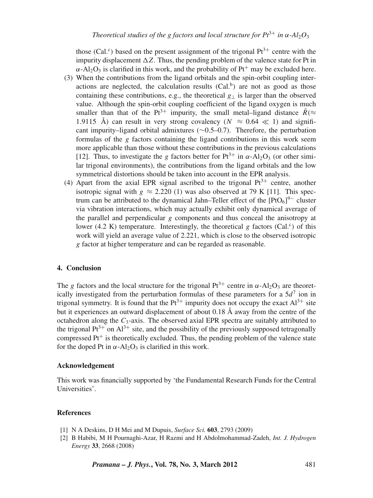those (Cal.<sup>c</sup>) based on the present assignment of the trigonal  $Pt^{3+}$  centre with the impurity displacement  $\Delta Z$ . Thus, the pending problem of the valence state for Pt in  $\alpha$ -Al<sub>2</sub>O<sub>3</sub> is clarified in this work, and the probability of Pt<sup>+</sup> may be excluded here.

- (3) When the contributions from the ligand orbitals and the spin-orbit coupling interactions are neglected, the calculation results  $(Cal<sup>b</sup>)$  are not as good as those containing these contributions, e.g., the theoretical *g*<sup>⊥</sup> is larger than the observed value. Although the spin-orbit coupling coefficient of the ligand oxygen is much smaller than that of the Pt<sup>3+</sup> impurity, the small metal–ligand distance  $\bar{R}$ ( $\approx$ 1.9115 Å) can result in very strong covalency ( $N \approx 0.64 \ll 1$ ) and significant impurity–ligand orbital admixtures (∼0.5–0.7). Therefore, the perturbation formulas of the *g* factors containing the ligand contributions in this work seem more applicable than those without these contributions in the previous calculations [12]. Thus, to investigate the *g* factors better for  $Pt^{3+}$  in  $\alpha$ -Al<sub>2</sub>O<sub>3</sub> (or other similar trigonal environments), the contributions from the ligand orbitals and the low symmetrical distortions should be taken into account in the EPR analysis.
- (4) Apart from the axial EPR signal ascribed to the trigonal  $Pt^{3+}$  centre, another isotropic signal with  $g \approx 2.220$  (1) was also observed at 79 K [11]. This spectrum can be attributed to the dynamical Jahn–Teller effect of the  $[PtO<sub>6</sub>]<sup>9–</sup>$  cluster via vibration interactions, which may actually exhibit only dynamical average of the parallel and perpendicular *g* components and thus conceal the anisotropy at lower (4.2 K) temperature. Interestingly, the theoretical  $g$  factors (Cal.<sup>c</sup>) of this work will yield an average value of 2.221, which is close to the observed isotropic *g* factor at higher temperature and can be regarded as reasonable.

# **4. Conclusion**

The *g* factors and the local structure for the trigonal  $Pt^{3+}$  centre in  $\alpha$ -Al<sub>2</sub>O<sub>3</sub> are theoretically investigated from the perturbation formulas of these parameters for a  $5d^7$  ion in trigonal symmetry. It is found that the  $Pt^{3+}$  impurity does not occupy the exact  $Al^{3+}$  site but it experiences an outward displacement of about 0.18 Å away from the centre of the octahedron along the  $C_3$ -axis. The observed axial EPR spectra are suitably attributed to the trigonal  $Pt^{3+}$  on  $Al^{3+}$  site, and the possibility of the previously supposed tetragonally compressed  $Pt<sup>+</sup>$  is theoretically excluded. Thus, the pending problem of the valence state for the doped Pt in  $\alpha$ -Al<sub>2</sub>O<sub>3</sub> is clarified in this work.

# **Acknowledgement**

This work was financially supported by 'the Fundamental Research Funds for the Central Universities'.

#### **References**

- [1] N A Deskins, D H Mei and M Dupuis, *Surface Sci.* **603**, 2793 (2009)
- [2] B Habibi, M H Pournaghi-Azar, H Razmi and H Abdolmohammad-Zadeh, *Int. J. Hydrogen Energy* **33**, 2668 (2008)